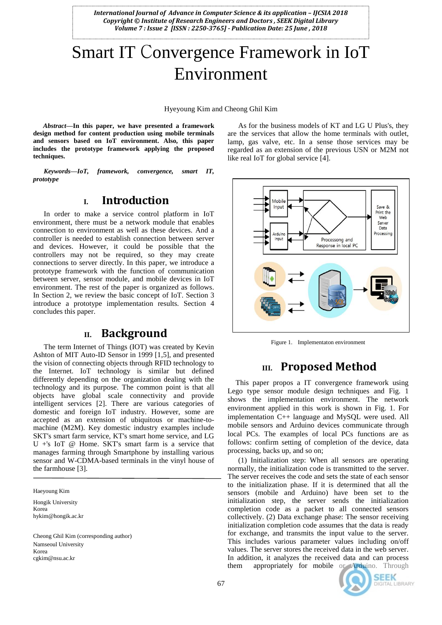*International Journal of Advance in Computer Science & its application – IJCSIA 2018 Copyright © Institute of Research Engineers and Doctors , SEEK Digital Library Volume 7 : Issue 2 [ISSN : 2250-3765] - Publication Date: 25 June , 2018*

# Smart IT Convergence Framework in IoT Environment

Hyeyoung Kim and Cheong Ghil Kim

*Abstract***—In this paper, we have presented a framework design method for content production using mobile terminals and sensors based on IoT environment. Also, this paper includes the prototype framework applying the proposed techniques.**

*Keywords—IoT, framework, convergence, smart IT, prototype*

#### **I. Introduction**

In order to make a service control platform in IoT environment, there must be a network module that enables connection to environment as well as these devices. And a controller is needed to establish connection between server and devices. However, it could be possible that the controllers may not be required, so they may create connections to server directly. In this paper, we introduce a prototype framework with the function of communication between server, sensor module, and mobile devices in IoT environment. The rest of the paper is organized as follows. In Section 2, we review the basic concept of IoT. Section 3 introduce a prototype implementation results. Section 4 concludes this paper.

### **II. Background**

The term Internet of Things (IOT) was created by Kevin Ashton of MIT Auto-ID Sensor in 1999 [1,5], and presented the vision of connecting objects through RFID technology to the Internet. IoT technology is similar but defined differently depending on the organization dealing with the technology and its purpose. The common point is that all objects have global scale connectivity and provide intelligent services [2]. There are various categories of domestic and foreign IoT industry. However, some are accepted as an extension of ubiquitous or machine-tomachine (M2M). Key domestic industry examples include SKT's smart farm service, KT's smart home service, and LG U +'s IoT @ Home. SKT's smart farm is a service that manages farming through Smartphone by installing various sensor and W-CDMA-based terminals in the vinyl house of the farmhouse [3].

Haeyoung Kim

Hongik University Korea hykim@hongik.ac.kr

Cheong Ghil Kim (corresponding author) Namseoul University Korea cgkim@nsu.ac.kr

As for the business models of KT and LG U Plus's, they are the services that allow the home terminals with outlet, lamp, gas valve, etc. In a sense those services may be regarded as an extension of the previous USN or M2M not like real IoT for global service [4].



Figure 1. Implementaton environment

#### **III. Proposed Method**

This paper propos a IT convergence framework using Lego type sensor module design techniques and Fig. 1 shows the implementation environment. The network environment applied in this work is shown in Fig. 1. For implementation C++ language and MySQL were used. All mobile sensors and Arduino devices communicate through local PCs. The examples of local PCs functions are as follows: confirm setting of completion of the device, data processing, backs up, and so on;

(1) Initialization step: When all sensors are operating normally, the initialization code is transmitted to the server. The server receives the code and sets the state of each sensor to the initialization phase. If it is determined that all the sensors (mobile and Arduino) have been set to the initialization step, the server sends the initialization completion code as a packet to all connected sensors collectively. (2) Data exchange phase: The sensor receiving initialization completion code assumes that the data is ready for exchange, and transmits the input value to the server. This includes various parameter values including on/off values. The server stores the received data in the web server. In addition, it analyzes the received data and can process them appropriately for mobile or Arduino. Through



**SEEK DIGITAL LIBRARY**